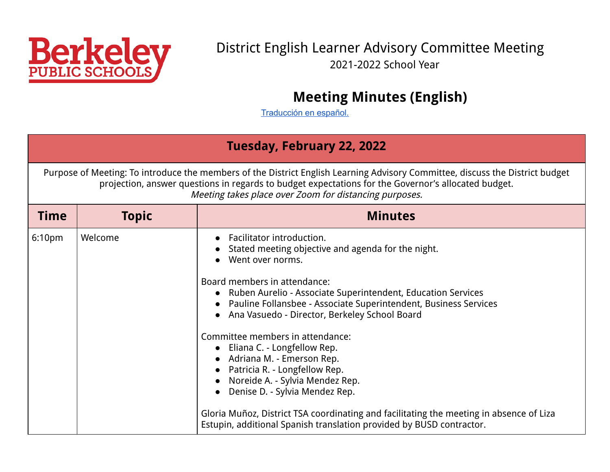<span id="page-0-0"></span>

### District English Learner Advisory Committee Meeting 2021-2022 School Year

# **Meeting Minutes (English)**

[Traducción](#page-5-0) en español.

#### **Tuesday, February 22, 2022**

Purpose of Meeting: To introduce the members of the District English Learning Advisory Committee, discuss the District budget projection, answer questions in regards to budget expectations for the Governor's allocated budget. Meeting takes place over Zoom for distancing purposes.

| <b>Time</b>        | <b>Topic</b> | <b>Minutes</b>                                                                                                                                                                                                                     |
|--------------------|--------------|------------------------------------------------------------------------------------------------------------------------------------------------------------------------------------------------------------------------------------|
| 6:10 <sub>pm</sub> | Welcome      | Facilitator introduction.<br>Stated meeting objective and agenda for the night.<br>Went over norms.                                                                                                                                |
|                    |              | Board members in attendance:<br>• Ruben Aurelio - Associate Superintendent, Education Services<br>• Pauline Follansbee - Associate Superintendent, Business Services<br>Ana Vasuedo - Director, Berkeley School Board<br>$\bullet$ |
|                    |              | Committee members in attendance:<br>• Eliana C. - Longfellow Rep.<br>• Adriana M. - Emerson Rep.<br>• Patricia R. - Longfellow Rep.<br>Noreide A. - Sylvia Mendez Rep.<br>Denise D. - Sylvia Mendez Rep.                           |
|                    |              | Gloria Muñoz, District TSA coordinating and facilitating the meeting in absence of Liza<br>Estupin, additional Spanish translation provided by BUSD contractor.                                                                    |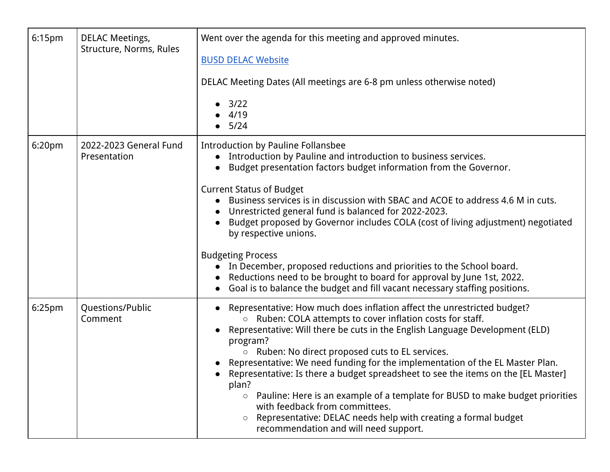| 6:15 <sub>pm</sub> | <b>DELAC Meetings,</b><br>Structure, Norms, Rules | Went over the agenda for this meeting and approved minutes.<br><b>BUSD DELAC Website</b><br>DELAC Meeting Dates (All meetings are 6-8 pm unless otherwise noted)<br>3/22<br>$\bullet$<br>4/19<br>5/24                                                                                                                                                                                                                                                                                                                                                                                                                                                                                                                                                                  |
|--------------------|---------------------------------------------------|------------------------------------------------------------------------------------------------------------------------------------------------------------------------------------------------------------------------------------------------------------------------------------------------------------------------------------------------------------------------------------------------------------------------------------------------------------------------------------------------------------------------------------------------------------------------------------------------------------------------------------------------------------------------------------------------------------------------------------------------------------------------|
| 6:20 <sub>pm</sub> | 2022-2023 General Fund<br>Presentation            | <b>Introduction by Pauline Follansbee</b><br>• Introduction by Pauline and introduction to business services.<br>Budget presentation factors budget information from the Governor.<br>$\bullet$<br><b>Current Status of Budget</b><br>Business services is in discussion with SBAC and ACOE to address 4.6 M in cuts.<br>Unrestricted general fund is balanced for 2022-2023.<br>Budget proposed by Governor includes COLA (cost of living adjustment) negotiated<br>by respective unions.<br><b>Budgeting Process</b><br>• In December, proposed reductions and priorities to the School board.<br>Reductions need to be brought to board for approval by June 1st, 2022.<br>Goal is to balance the budget and fill vacant necessary staffing positions.<br>$\bullet$ |
| 6:25 <sub>pm</sub> | Questions/Public<br>Comment                       | Representative: How much does inflation affect the unrestricted budget?<br>Ruben: COLA attempts to cover inflation costs for staff.<br>$\circ$<br>Representative: Will there be cuts in the English Language Development (ELD)<br>$\bullet$<br>program?<br>Ruben: No direct proposed cuts to EL services.<br>$\bigcirc$<br>Representative: We need funding for the implementation of the EL Master Plan.<br>Representative: Is there a budget spreadsheet to see the items on the [EL Master]<br>plan?<br>Pauline: Here is an example of a template for BUSD to make budget priorities<br>$\circ$<br>with feedback from committees.<br>Representative: DELAC needs help with creating a formal budget<br>$\circ$<br>recommendation and will need support.              |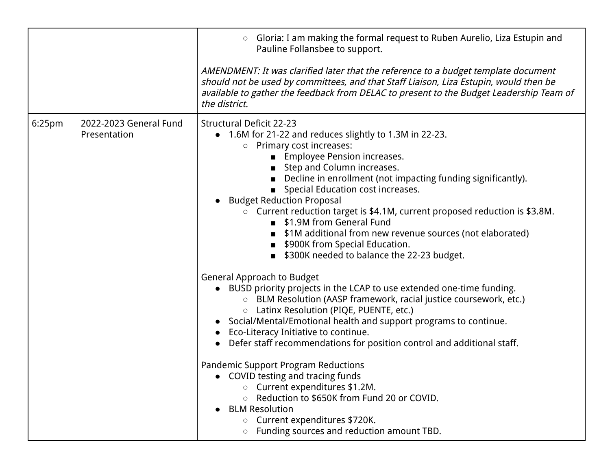|                    |                                        | Gloria: I am making the formal request to Ruben Aurelio, Liza Estupin and<br>$\circ$<br>Pauline Follansbee to support.                                                                                                                                                                                                                                                                                                                                                                                                                                                                                                                                                                                                                                                                                                                                                                                                                                                                                                                                                                                                                                                                                                                                                                                          |
|--------------------|----------------------------------------|-----------------------------------------------------------------------------------------------------------------------------------------------------------------------------------------------------------------------------------------------------------------------------------------------------------------------------------------------------------------------------------------------------------------------------------------------------------------------------------------------------------------------------------------------------------------------------------------------------------------------------------------------------------------------------------------------------------------------------------------------------------------------------------------------------------------------------------------------------------------------------------------------------------------------------------------------------------------------------------------------------------------------------------------------------------------------------------------------------------------------------------------------------------------------------------------------------------------------------------------------------------------------------------------------------------------|
|                    |                                        | AMENDMENT: It was clarified later that the reference to a budget template document<br>should not be used by committees, and that Staff Liaison, Liza Estupin, would then be<br>available to gather the feedback from DELAC to present to the Budget Leadership Team of<br>the district.                                                                                                                                                                                                                                                                                                                                                                                                                                                                                                                                                                                                                                                                                                                                                                                                                                                                                                                                                                                                                         |
| 6:25 <sub>pm</sub> | 2022-2023 General Fund<br>Presentation | <b>Structural Deficit 22-23</b><br>• 1.6M for 21-22 and reduces slightly to 1.3M in 22-23.<br>Primary cost increases:<br>$\circ$<br><b>Employee Pension increases.</b><br>Step and Column increases.<br>Decline in enrollment (not impacting funding significantly).<br>Special Education cost increases.<br>• Budget Reduction Proposal<br>○ Current reduction target is \$4.1M, current proposed reduction is \$3.8M.<br>\$1.9M from General Fund<br>\$1M additional from new revenue sources (not elaborated)<br>\$900K from Special Education.<br>\$300K needed to balance the 22-23 budget.<br><b>General Approach to Budget</b><br>• BUSD priority projects in the LCAP to use extended one-time funding.<br>○ BLM Resolution (AASP framework, racial justice coursework, etc.)<br>○ Latinx Resolution (PIQE, PUENTE, etc.)<br>• Social/Mental/Emotional health and support programs to continue.<br>• Eco-Literacy Initiative to continue.<br>• Defer staff recommendations for position control and additional staff.<br><b>Pandemic Support Program Reductions</b><br>COVID testing and tracing funds<br>○ Current expenditures \$1.2M.<br>Reduction to \$650K from Fund 20 or COVID.<br><b>BLM Resolution</b><br>Current expenditures \$720K.<br>$\circ$<br>Funding sources and reduction amount TBD. |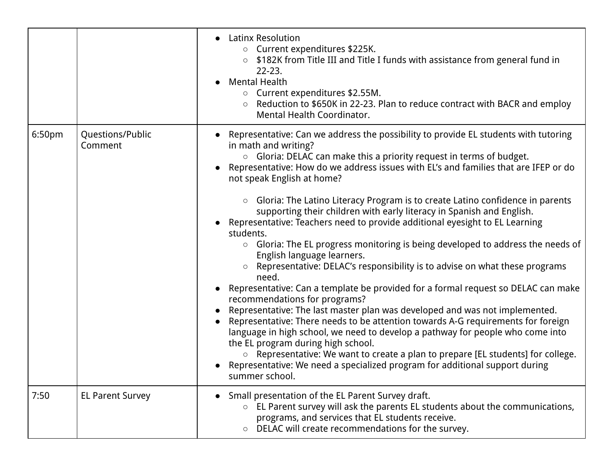|        |                             | <b>Latinx Resolution</b><br>$\bullet$<br>Current expenditures \$225K.<br>$\bigcirc$<br>○ \$182K from Title III and Title I funds with assistance from general fund in<br>$22 - 23$ .<br><b>Mental Health</b><br>$\bullet$<br>○ Current expenditures \$2.55M.<br>Reduction to \$650K in 22-23. Plan to reduce contract with BACR and employ<br>$\circ$<br>Mental Health Coordinator.                                                                                                                                                                                                                                                                                                                                                                                                                                                                                                                                                                                                                                                                                                                                                                                                                                                                                                                                                                                                                                                             |
|--------|-----------------------------|-------------------------------------------------------------------------------------------------------------------------------------------------------------------------------------------------------------------------------------------------------------------------------------------------------------------------------------------------------------------------------------------------------------------------------------------------------------------------------------------------------------------------------------------------------------------------------------------------------------------------------------------------------------------------------------------------------------------------------------------------------------------------------------------------------------------------------------------------------------------------------------------------------------------------------------------------------------------------------------------------------------------------------------------------------------------------------------------------------------------------------------------------------------------------------------------------------------------------------------------------------------------------------------------------------------------------------------------------------------------------------------------------------------------------------------------------|
| 6:50pm | Questions/Public<br>Comment | • Representative: Can we address the possibility to provide EL students with tutoring<br>in math and writing?<br>$\circ$ Gloria: DELAC can make this a priority request in terms of budget.<br>Representative: How do we address issues with EL's and families that are IFEP or do<br>not speak English at home?<br>Gloria: The Latino Literacy Program is to create Latino confidence in parents<br>$\circ$<br>supporting their children with early literacy in Spanish and English.<br>Representative: Teachers need to provide additional eyesight to EL Learning<br>students.<br>○ Gloria: The EL progress monitoring is being developed to address the needs of<br>English language learners.<br>Representative: DELAC's responsibility is to advise on what these programs<br>$\circ$<br>need.<br>Representative: Can a template be provided for a formal request so DELAC can make<br>$\bullet$<br>recommendations for programs?<br>Representative: The last master plan was developed and was not implemented.<br>Representative: There needs to be attention towards A-G requirements for foreign<br>$\bullet$<br>language in high school, we need to develop a pathway for people who come into<br>the EL program during high school.<br>Representative: We want to create a plan to prepare [EL students] for college.<br>$\circ$<br>• Representative: We need a specialized program for additional support during<br>summer school. |
| 7:50   | <b>EL Parent Survey</b>     | Small presentation of the EL Parent Survey draft.<br>$\bullet$<br>$\circ$ EL Parent survey will ask the parents EL students about the communications,<br>programs, and services that EL students receive.<br>DELAC will create recommendations for the survey.<br>$\circ$                                                                                                                                                                                                                                                                                                                                                                                                                                                                                                                                                                                                                                                                                                                                                                                                                                                                                                                                                                                                                                                                                                                                                                       |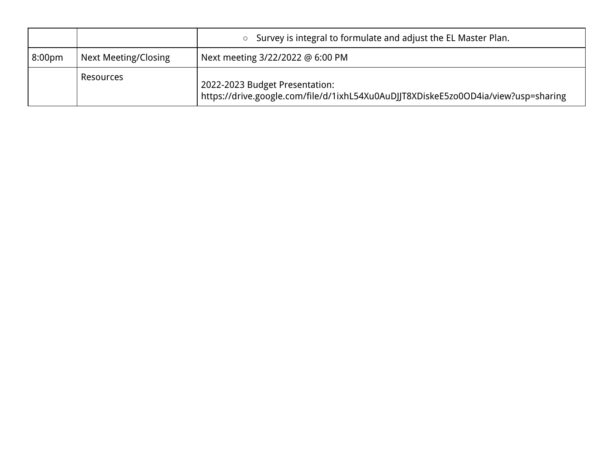|                    |                      | $\circ$ Survey is integral to formulate and adjust the EL Master Plan.                                               |
|--------------------|----------------------|----------------------------------------------------------------------------------------------------------------------|
| 8:00 <sub>pm</sub> | Next Meeting/Closing | Next meeting 3/22/2022 @ 6:00 PM                                                                                     |
|                    | Resources            | 2022-2023 Budget Presentation:<br>https://drive.google.com/file/d/1ixhL54Xu0AuDJJT8XDiskeE5zo0OD4ia/view?usp=sharing |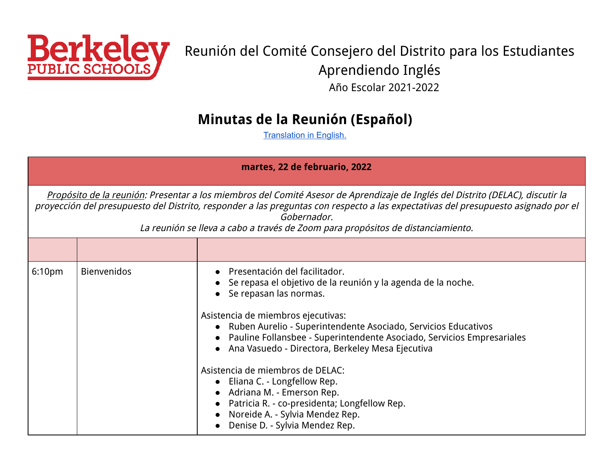<span id="page-5-0"></span>

# Reunión del Comité Consejero del Distrito para los Estudiantes Aprendiendo Inglés Año Escolar 2021-2022

### **Minutas de la Reunión (Español)**

**[Translation](#page-0-0) in English.** 

| martes, 22 de februario, 2022 |             |                                                                                                                                                                                                                                                                                                                                                                                                                                                                                                                                                                                                                               |
|-------------------------------|-------------|-------------------------------------------------------------------------------------------------------------------------------------------------------------------------------------------------------------------------------------------------------------------------------------------------------------------------------------------------------------------------------------------------------------------------------------------------------------------------------------------------------------------------------------------------------------------------------------------------------------------------------|
|                               |             | Propósito de la reunión: Presentar a los miembros del Comité Asesor de Aprendizaje de Inglés del Distrito (DELAC), discutir la<br>proyección del presupuesto del Distrito, responder a las preguntas con respecto a las expectativas del presupuesto asignado por el<br>Gobernador.<br>La reunión se lleva a cabo a través de Zoom para propósitos de distanciamiento.                                                                                                                                                                                                                                                        |
|                               |             |                                                                                                                                                                                                                                                                                                                                                                                                                                                                                                                                                                                                                               |
| 6:10 <sub>pm</sub>            | Bienvenidos | Presentación del facilitador.<br>Se repasa el objetivo de la reunión y la agenda de la noche.<br>Se repasan las normas.<br>$\bullet$<br>Asistencia de miembros ejecutivas:<br>Ruben Aurelio - Superintendente Asociado, Servicios Educativos<br>$\bullet$<br>Pauline Follansbee - Superintendente Asociado, Servicios Empresariales<br>Ana Vasuedo - Directora, Berkeley Mesa Ejecutiva<br>$\bullet$<br>Asistencia de miembros de DELAC:<br>• Eliana C. - Longfellow Rep.<br>• Adriana M. - Emerson Rep.<br>Patricia R. - co-presidenta; Longfellow Rep.<br>Noreide A. - Sylvia Mendez Rep.<br>Denise D. - Sylvia Mendez Rep. |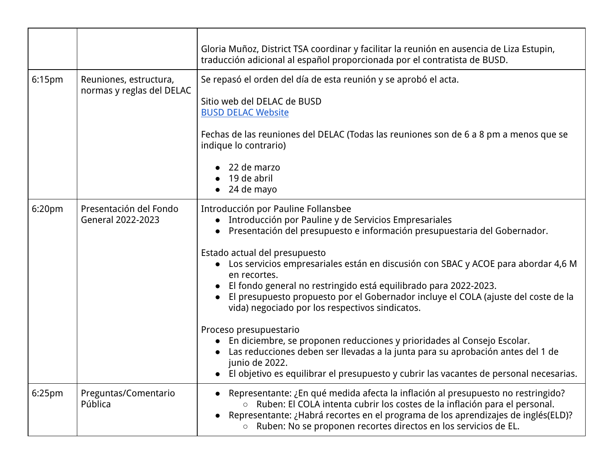|                    |                                                     | Gloria Muñoz, District TSA coordinar y facilitar la reunión en ausencia de Liza Estupin,<br>traducción adicional al español proporcionada por el contratista de BUSD.                                                                                                                                                                                                                                                                                                                                                                                                                                                                                                                                                                                                                                                                             |
|--------------------|-----------------------------------------------------|---------------------------------------------------------------------------------------------------------------------------------------------------------------------------------------------------------------------------------------------------------------------------------------------------------------------------------------------------------------------------------------------------------------------------------------------------------------------------------------------------------------------------------------------------------------------------------------------------------------------------------------------------------------------------------------------------------------------------------------------------------------------------------------------------------------------------------------------------|
| 6:15 <sub>pm</sub> | Reuniones, estructura,<br>normas y reglas del DELAC | Se repasó el orden del día de esta reunión y se aprobó el acta.<br>Sitio web del DELAC de BUSD<br><b>BUSD DELAC Website</b><br>Fechas de las reuniones del DELAC (Todas las reuniones son de 6 a 8 pm a menos que se<br>indique lo contrario)<br>22 de marzo<br>19 de abril<br>24 de mayo<br>$\bullet$                                                                                                                                                                                                                                                                                                                                                                                                                                                                                                                                            |
| 6:20 <sub>pm</sub> | Presentación del Fondo<br>General 2022-2023         | Introducción por Pauline Follansbee<br>Introducción por Pauline y de Servicios Empresariales<br>Presentación del presupuesto e información presupuestaria del Gobernador.<br>$\bullet$<br>Estado actual del presupuesto<br>Los servicios empresariales están en discusión con SBAC y ACOE para abordar 4,6 M<br>en recortes.<br>El fondo general no restringido está equilibrado para 2022-2023.<br>El presupuesto propuesto por el Gobernador incluye el COLA (ajuste del coste de la<br>vida) negociado por los respectivos sindicatos.<br>Proceso presupuestario<br>• En diciembre, se proponen reducciones y prioridades al Consejo Escolar.<br>Las reducciones deben ser llevadas a la junta para su aprobación antes del 1 de<br>junio de 2022.<br>• El objetivo es equilibrar el presupuesto y cubrir las vacantes de personal necesarias. |
| 6:25 <sub>pm</sub> | Preguntas/Comentario<br>Pública                     | Representante: ¿En qué medida afecta la inflación al presupuesto no restringido?<br>○ Ruben: El COLA intenta cubrir los costes de la inflación para el personal.<br>Representante: ¿Habrá recortes en el programa de los aprendizajes de inglés(ELD)?<br>$\bullet$<br>o Ruben: No se proponen recortes directos en los servicios de EL.                                                                                                                                                                                                                                                                                                                                                                                                                                                                                                           |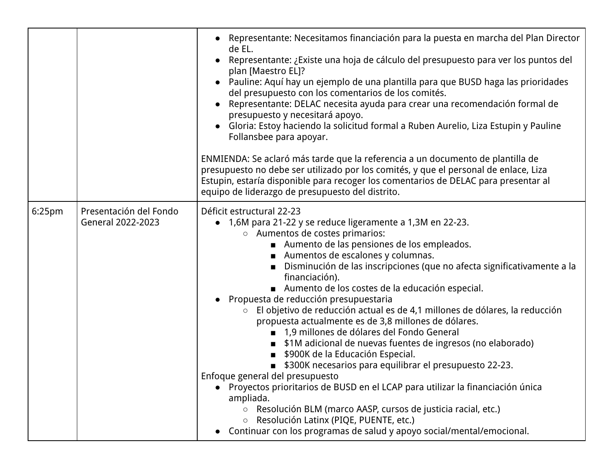|                    |                                             | • Representante: Necesitamos financiación para la puesta en marcha del Plan Director<br>de EL.<br>Representante: ¿Existe una hoja de cálculo del presupuesto para ver los puntos del<br>plan [Maestro EL]?<br>• Pauline: Aquí hay un ejemplo de una plantilla para que BUSD haga las prioridades<br>del presupuesto con los comentarios de los comités.<br>Representante: DELAC necesita ayuda para crear una recomendación formal de<br>presupuesto y necesitará apoyo.<br>Gloria: Estoy haciendo la solicitud formal a Ruben Aurelio, Liza Estupin y Pauline<br>Follansbee para apoyar.<br>ENMIENDA: Se aclaró más tarde que la referencia a un documento de plantilla de<br>presupuesto no debe ser utilizado por los comités, y que el personal de enlace, Liza                                                                                                                                                                                                                                                                                                                                                                                                                                                                                                                                    |
|--------------------|---------------------------------------------|--------------------------------------------------------------------------------------------------------------------------------------------------------------------------------------------------------------------------------------------------------------------------------------------------------------------------------------------------------------------------------------------------------------------------------------------------------------------------------------------------------------------------------------------------------------------------------------------------------------------------------------------------------------------------------------------------------------------------------------------------------------------------------------------------------------------------------------------------------------------------------------------------------------------------------------------------------------------------------------------------------------------------------------------------------------------------------------------------------------------------------------------------------------------------------------------------------------------------------------------------------------------------------------------------------|
|                    |                                             | Estupin, estaría disponible para recoger los comentarios de DELAC para presentar al<br>equipo de liderazgo de presupuesto del distrito.                                                                                                                                                                                                                                                                                                                                                                                                                                                                                                                                                                                                                                                                                                                                                                                                                                                                                                                                                                                                                                                                                                                                                                |
| 6:25 <sub>pm</sub> | Presentación del Fondo<br>General 2022-2023 | Déficit estructural 22-23<br>1,6M para 21-22 y se reduce ligeramente a 1,3M en 22-23.<br>$\bullet$<br>○ Aumentos de costes primarios:<br>Aumento de las pensiones de los empleados.<br>Aumentos de escalones y columnas.<br>■ Disminución de las inscripciones (que no afecta significativamente a la<br>financiación).<br>Aumento de los costes de la educación especial.<br>Propuesta de reducción presupuestaria<br>El objetivo de reducción actual es de 4,1 millones de dólares, la reducción<br>$\circ$<br>propuesta actualmente es de 3,8 millones de dólares.<br>■ 1,9 millones de dólares del Fondo General<br><b>Sacha 15 and 16 Sepanne 15 and 16 Sepanne 16 Sepanne 16 Sepanne 16 Sepanne 16 Sepanne 16 Sepanne 16 Sepanne 16 Sepanne 16 Sepanne 16 Sepanne 16 Sepanne 16 Sepanne 16 Sepanne 16 Sepanne 16 Sepanne 16 Sepanne 16 Sepanne 16 </b><br>■ \$900K de la Educación Especial.<br>■ \$300K necesarios para equilibrar el presupuesto 22-23.<br>Enfoque general del presupuesto<br>• Proyectos prioritarios de BUSD en el LCAP para utilizar la financiación única<br>ampliada.<br>○ Resolución BLM (marco AASP, cursos de justicia racial, etc.)<br>○ Resolución Latinx (PIQE, PUENTE, etc.)<br>Continuar con los programas de salud y apoyo social/mental/emocional.<br>$\bullet$ |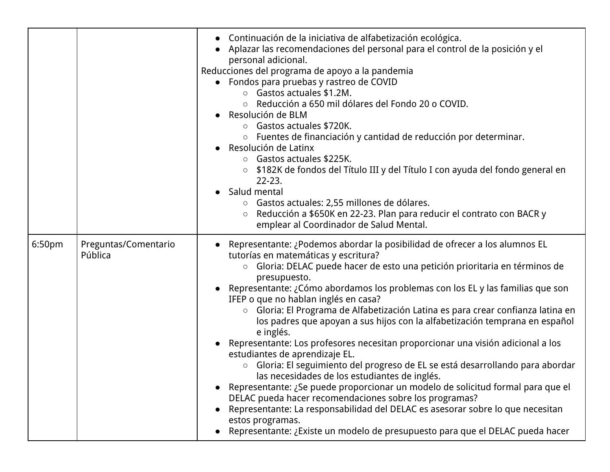|        |                                 | Continuación de la iniciativa de alfabetización ecológica.<br>$\bullet$<br>Aplazar las recomendaciones del personal para el control de la posición y el<br>personal adicional.<br>Reducciones del programa de apoyo a la pandemia<br>• Fondos para pruebas y rastreo de COVID<br>$\circ$ Gastos actuales \$1.2M.<br>Reducción a 650 mil dólares del Fondo 20 o COVID.<br>$\circ$<br>Resolución de BLM<br>Gastos actuales \$720K.<br>$\circ$<br>○ Fuentes de financiación y cantidad de reducción por determinar.<br>Resolución de Latinx<br>Gastos actuales \$225K.<br>$\circ$<br>\$182K de fondos del Título III y del Título I con ayuda del fondo general en<br>$\circ$<br>$22 - 23.$<br>Salud mental<br>$\bullet$<br>○ Gastos actuales: 2,55 millones de dólares.<br>Reducción a \$650K en 22-23. Plan para reducir el contrato con BACR y<br>$\bigcirc$<br>emplear al Coordinador de Salud Mental.                                                                                                                                                                                                                                         |
|--------|---------------------------------|-------------------------------------------------------------------------------------------------------------------------------------------------------------------------------------------------------------------------------------------------------------------------------------------------------------------------------------------------------------------------------------------------------------------------------------------------------------------------------------------------------------------------------------------------------------------------------------------------------------------------------------------------------------------------------------------------------------------------------------------------------------------------------------------------------------------------------------------------------------------------------------------------------------------------------------------------------------------------------------------------------------------------------------------------------------------------------------------------------------------------------------------------|
| 6:50pm | Preguntas/Comentario<br>Pública | Representante: ¿Podemos abordar la posibilidad de ofrecer a los alumnos EL<br>tutorías en matemáticas y escritura?<br>Gloria: DELAC puede hacer de esto una petición prioritaria en términos de<br>$\bigcirc$<br>presupuesto.<br>Representante: ¿Cómo abordamos los problemas con los EL y las familias que son<br>IFEP o que no hablan inglés en casa?<br>Gloria: El Programa de Alfabetización Latina es para crear confianza latina en<br>$\bigcirc$<br>los padres que apoyan a sus hijos con la alfabetización temprana en español<br>e inglés.<br>Representante: Los profesores necesitan proporcionar una visión adicional a los<br>estudiantes de aprendizaje EL.<br>○ Gloria: El seguimiento del progreso de EL se está desarrollando para abordar<br>las necesidades de los estudiantes de inglés.<br>Representante: ¿Se puede proporcionar un modelo de solicitud formal para que el<br>DELAC pueda hacer recomendaciones sobre los programas?<br>Representante: La responsabilidad del DELAC es asesorar sobre lo que necesitan<br>estos programas.<br>Representante: ¿Existe un modelo de presupuesto para que el DELAC pueda hacer |